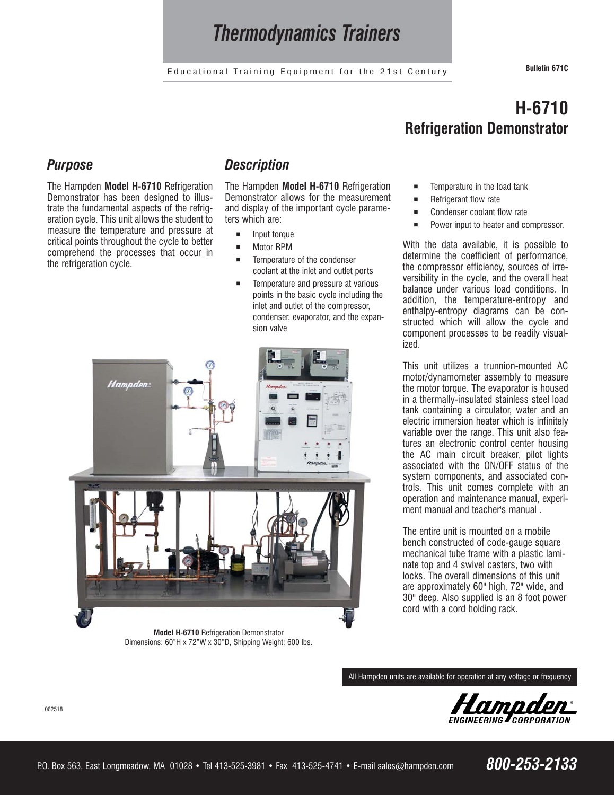## *Thermodynamics Trainers*

Educational Training Equipment for the 21st Century **Bulletin 671C**

### *Purpose*

The Hampden **Model H-6710** Refrigeration Demonstrator has been designed to illustrate the fundamental aspects of the refrigeration cycle. This unit allows the student to measure the temperature and pressure at critical points throughout the cycle to better comprehend the processes that occur in the refrigeration cycle.

### *Description*

The Hampden **Model H-6710** Refrigeration Demonstrator allows for the measurement and display of the important cycle parameters which are:

- Input torque
- Motor RPM
- Temperature of the condenser coolant at the inlet and outlet ports
- Temperature and pressure at various points in the basic cycle including the inlet and outlet of the compressor, condenser, evaporator, and the expan sion valve



**Model H-6710** Refrigeration Demonstrator Dimensions: 60"H x 72"W x 30"D, Shipping Weight: 600 lbs.

## **H-6710 Refrigeration Demonstrator**

- Temperature in the load tank
- Refrigerant flow rate
- Condenser coolant flow rate
- **Power input to heater and compressor.**

With the data available, it is possible to determine the coefficient of performance, the compressor efficiency, sources of irreversibility in the cycle, and the overall heat balance under various load conditions. In addition, the temperature-entropy and enthalpy-entropy diagrams can be constructed which will allow the cycle and component processes to be readily visualized.

This unit utilizes a trunnion-mounted AC motor/dynamometer assembly to measure the motor torque. The evaporator is housed in a thermally-insulated stainless steel load tank containing a circulator, water and an electric immersion heater which is infinitely variable over the range. This unit also features an electronic control center housing the AC main circuit breaker, pilot lights associated with the ON/OFF status of the system components, and associated controls. This unit comes complete with an operation and maintenance manual, experiment manual and teacher's manual .

The entire unit is mounted on a mobile bench constructed of code-gauge square mechanical tube frame with a plastic laminate top and 4 swivel casters, two with locks. The overall dimensions of this unit are approximately 60" high, 72" wide, and 30" deep. Also supplied is an 8 foot power cord with a cord holding rack.

All Hampden units are available for operation at any voltage or frequency



062518